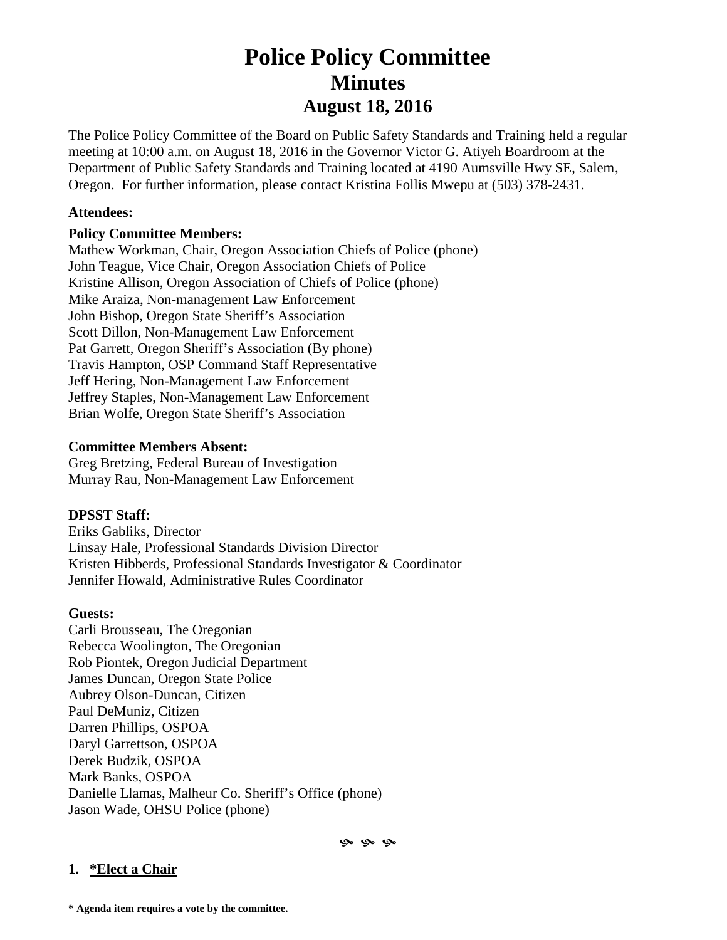# **Police Policy Committee Minutes August 18, 2016**

The Police Policy Committee of the Board on Public Safety Standards and Training held a regular meeting at 10:00 a.m. on August 18, 2016 in the Governor Victor G. Atiyeh Boardroom at the Department of Public Safety Standards and Training located at 4190 Aumsville Hwy SE, Salem, Oregon. For further information, please contact Kristina Follis Mwepu at (503) 378-2431.

### **Attendees:**

### **Policy Committee Members:**

Mathew Workman, Chair, Oregon Association Chiefs of Police (phone) John Teague, Vice Chair, Oregon Association Chiefs of Police Kristine Allison, Oregon Association of Chiefs of Police (phone) Mike Araiza, Non-management Law Enforcement John Bishop, Oregon State Sheriff's Association Scott Dillon, Non-Management Law Enforcement Pat Garrett, Oregon Sheriff's Association (By phone) Travis Hampton, OSP Command Staff Representative Jeff Hering, Non-Management Law Enforcement Jeffrey Staples, Non-Management Law Enforcement Brian Wolfe, Oregon State Sheriff's Association

### **Committee Members Absent:**

Greg Bretzing, Federal Bureau of Investigation Murray Rau, Non-Management Law Enforcement

### **DPSST Staff:**

Eriks Gabliks, Director Linsay Hale, Professional Standards Division Director Kristen Hibberds, Professional Standards Investigator & Coordinator Jennifer Howald, Administrative Rules Coordinator

#### **Guests:**

Carli Brousseau, The Oregonian Rebecca Woolington, The Oregonian Rob Piontek, Oregon Judicial Department James Duncan, Oregon State Police Aubrey Olson-Duncan, Citizen Paul DeMuniz, Citizen Darren Phillips, OSPOA Daryl Garrettson, OSPOA Derek Budzik, OSPOA Mark Banks, OSPOA Danielle Llamas, Malheur Co. Sheriff's Office (phone) Jason Wade, OHSU Police (phone)

 $9 - 9 - 9$ 

### **1. \*Elect a Chair**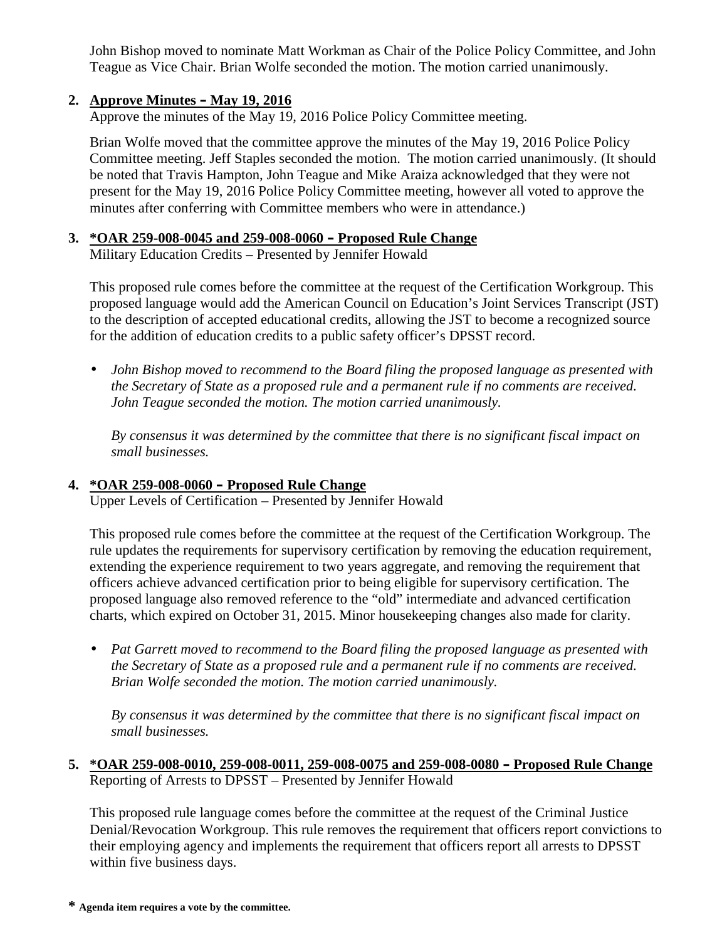John Bishop moved to nominate Matt Workman as Chair of the Police Policy Committee, and John Teague as Vice Chair. Brian Wolfe seconded the motion. The motion carried unanimously.

# **2. Approve Minutes – May 19, 2016**

Approve the minutes of the May 19, 2016 Police Policy Committee meeting.

Brian Wolfe moved that the committee approve the minutes of the May 19, 2016 Police Policy Committee meeting. Jeff Staples seconded the motion. The motion carried unanimously. (It should be noted that Travis Hampton, John Teague and Mike Araiza acknowledged that they were not present for the May 19, 2016 Police Policy Committee meeting, however all voted to approve the minutes after conferring with Committee members who were in attendance.)

# **3. \*OAR 259-008-0045 and 259-008-0060 – Proposed Rule Change**

Military Education Credits – Presented by Jennifer Howald

This proposed rule comes before the committee at the request of the Certification Workgroup. This proposed language would add the American Council on Education's Joint Services Transcript (JST) to the description of accepted educational credits, allowing the JST to become a recognized source for the addition of education credits to a public safety officer's DPSST record.

 *John Bishop moved to recommend to the Board filing the proposed language as presented with the Secretary of State as a proposed rule and a permanent rule if no comments are received. John Teague seconded the motion. The motion carried unanimously.*

*By consensus it was determined by the committee that there is no significant fiscal impact on small businesses.*

# **4. \*OAR 259-008-0060 – Proposed Rule Change**

Upper Levels of Certification – Presented by Jennifer Howald

This proposed rule comes before the committee at the request of the Certification Workgroup. The rule updates the requirements for supervisory certification by removing the education requirement, extending the experience requirement to two years aggregate, and removing the requirement that officers achieve advanced certification prior to being eligible for supervisory certification. The proposed language also removed reference to the "old" intermediate and advanced certification charts, which expired on October 31, 2015. Minor housekeeping changes also made for clarity.

 *Pat Garrett moved to recommend to the Board filing the proposed language as presented with the Secretary of State as a proposed rule and a permanent rule if no comments are received. Brian Wolfe seconded the motion. The motion carried unanimously.*

*By consensus it was determined by the committee that there is no significant fiscal impact on small businesses.*

# **5. \*OAR 259-008-0010, 259-008-0011, 259-008-0075 and 259-008-0080 – Proposed Rule Change** Reporting of Arrests to DPSST – Presented by Jennifer Howald

This proposed rule language comes before the committee at the request of the Criminal Justice Denial/Revocation Workgroup. This rule removes the requirement that officers report convictions to their employing agency and implements the requirement that officers report all arrests to DPSST within five business days.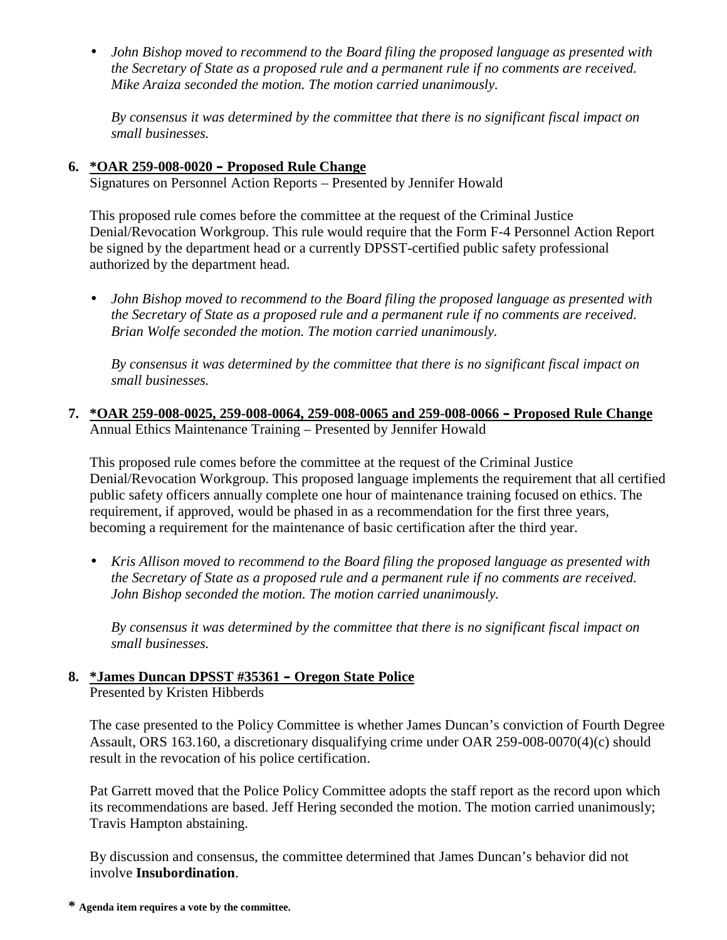*John Bishop moved to recommend to the Board filing the proposed language as presented with the Secretary of State as a proposed rule and a permanent rule if no comments are received. Mike Araiza seconded the motion. The motion carried unanimously.*

*By consensus it was determined by the committee that there is no significant fiscal impact on small businesses.*

# **6. \*OAR 259-008-0020 – Proposed Rule Change**

Signatures on Personnel Action Reports – Presented by Jennifer Howald

This proposed rule comes before the committee at the request of the Criminal Justice Denial/Revocation Workgroup. This rule would require that the Form F-4 Personnel Action Report be signed by the department head or a currently DPSST-certified public safety professional authorized by the department head.

 *John Bishop moved to recommend to the Board filing the proposed language as presented with the Secretary of State as a proposed rule and a permanent rule if no comments are received. Brian Wolfe seconded the motion. The motion carried unanimously.*

*By consensus it was determined by the committee that there is no significant fiscal impact on small businesses.*

**7. \*OAR 259-008-0025, 259-008-0064, 259-008-0065 and 259-008-0066 – Proposed Rule Change** Annual Ethics Maintenance Training – Presented by Jennifer Howald

This proposed rule comes before the committee at the request of the Criminal Justice Denial/Revocation Workgroup. This proposed language implements the requirement that all certified public safety officers annually complete one hour of maintenance training focused on ethics. The requirement, if approved, would be phased in as a recommendation for the first three years, becoming a requirement for the maintenance of basic certification after the third year.

 *Kris Allison moved to recommend to the Board filing the proposed language as presented with the Secretary of State as a proposed rule and a permanent rule if no comments are received. John Bishop seconded the motion. The motion carried unanimously.*

*By consensus it was determined by the committee that there is no significant fiscal impact on small businesses.*

#### **8. \*James Duncan DPSST #35361 – Oregon State Police** Presented by Kristen Hibberds

The case presented to the Policy Committee is whether James Duncan's conviction of Fourth Degree Assault, ORS 163.160, a discretionary disqualifying crime under OAR 259-008-0070(4)(c) should result in the revocation of his police certification.

Pat Garrett moved that the Police Policy Committee adopts the staff report as the record upon which its recommendations are based. Jeff Hering seconded the motion. The motion carried unanimously; Travis Hampton abstaining.

By discussion and consensus, the committee determined that James Duncan's behavior did not involve **Insubordination**.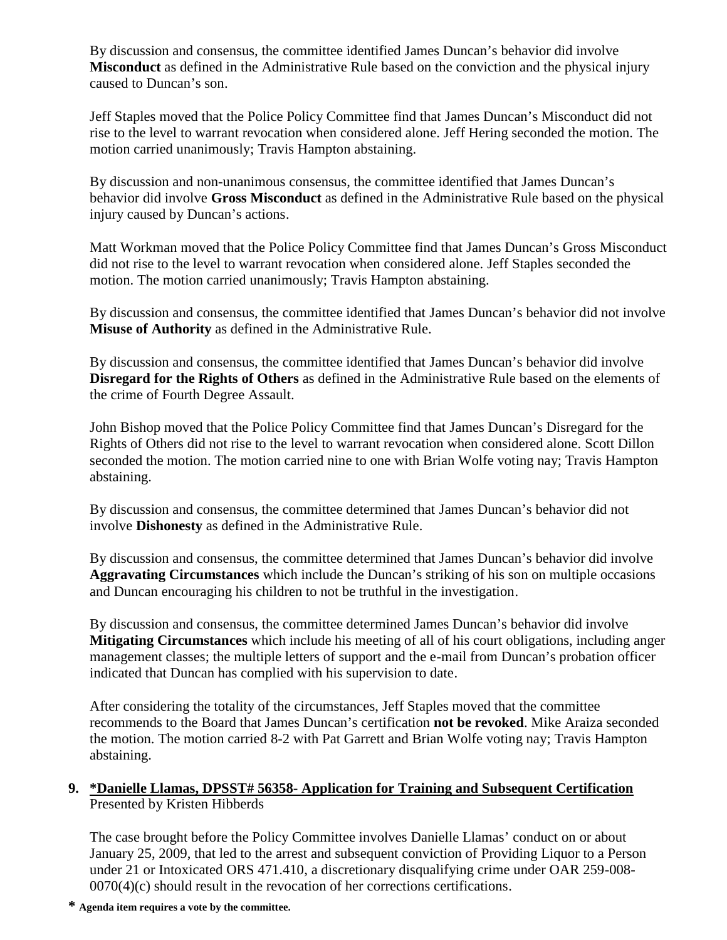By discussion and consensus, the committee identified James Duncan's behavior did involve **Misconduct** as defined in the Administrative Rule based on the conviction and the physical injury caused to Duncan's son.

Jeff Staples moved that the Police Policy Committee find that James Duncan's Misconduct did not rise to the level to warrant revocation when considered alone. Jeff Hering seconded the motion. The motion carried unanimously; Travis Hampton abstaining.

By discussion and non-unanimous consensus, the committee identified that James Duncan's behavior did involve **Gross Misconduct** as defined in the Administrative Rule based on the physical injury caused by Duncan's actions.

Matt Workman moved that the Police Policy Committee find that James Duncan's Gross Misconduct did not rise to the level to warrant revocation when considered alone. Jeff Staples seconded the motion. The motion carried unanimously; Travis Hampton abstaining.

By discussion and consensus, the committee identified that James Duncan's behavior did not involve **Misuse of Authority** as defined in the Administrative Rule.

By discussion and consensus, the committee identified that James Duncan's behavior did involve **Disregard for the Rights of Others** as defined in the Administrative Rule based on the elements of the crime of Fourth Degree Assault.

John Bishop moved that the Police Policy Committee find that James Duncan's Disregard for the Rights of Others did not rise to the level to warrant revocation when considered alone. Scott Dillon seconded the motion. The motion carried nine to one with Brian Wolfe voting nay; Travis Hampton abstaining.

By discussion and consensus, the committee determined that James Duncan's behavior did not involve **Dishonesty** as defined in the Administrative Rule.

By discussion and consensus, the committee determined that James Duncan's behavior did involve **Aggravating Circumstances** which include the Duncan's striking of his son on multiple occasions and Duncan encouraging his children to not be truthful in the investigation.

By discussion and consensus, the committee determined James Duncan's behavior did involve **Mitigating Circumstances** which include his meeting of all of his court obligations, including anger management classes; the multiple letters of support and the e-mail from Duncan's probation officer indicated that Duncan has complied with his supervision to date.

After considering the totality of the circumstances, Jeff Staples moved that the committee recommends to the Board that James Duncan's certification **not be revoked**. Mike Araiza seconded the motion. The motion carried 8-2 with Pat Garrett and Brian Wolfe voting nay; Travis Hampton abstaining.

# **9. \*Danielle Llamas, DPSST# 56358- Application for Training and Subsequent Certification** Presented by Kristen Hibberds

The case brought before the Policy Committee involves Danielle Llamas' conduct on or about January 25, 2009, that led to the arrest and subsequent conviction of Providing Liquor to a Person under 21 or Intoxicated ORS 471.410, a discretionary disqualifying crime under OAR 259-008- 0070(4)(c) should result in the revocation of her corrections certifications.

**\* Agenda item requires a vote by the committee.**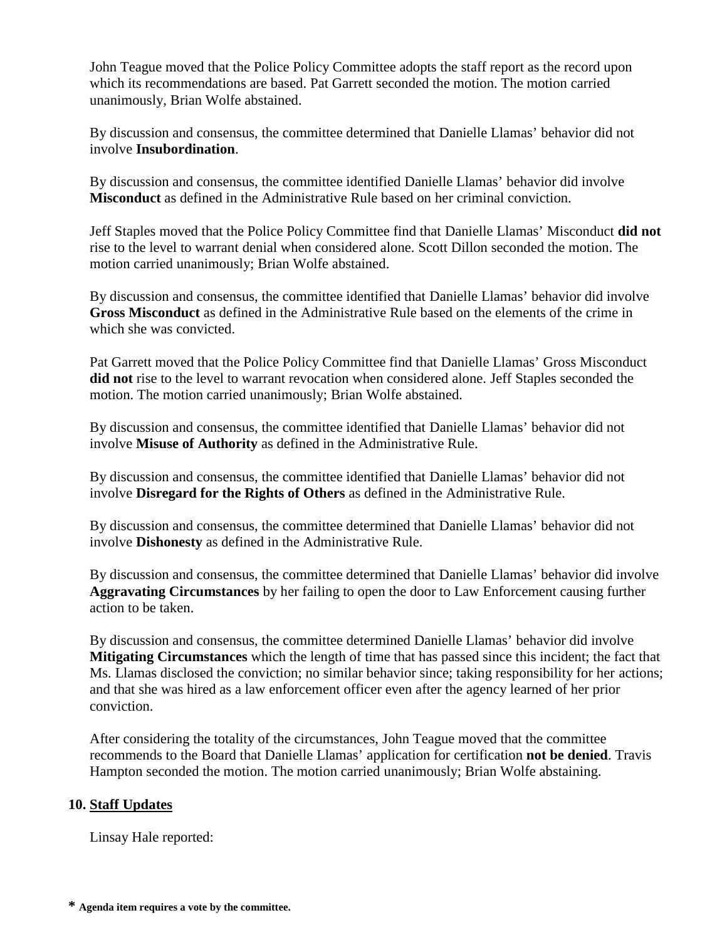John Teague moved that the Police Policy Committee adopts the staff report as the record upon which its recommendations are based. Pat Garrett seconded the motion. The motion carried unanimously, Brian Wolfe abstained.

By discussion and consensus, the committee determined that Danielle Llamas' behavior did not involve **Insubordination**.

By discussion and consensus, the committee identified Danielle Llamas' behavior did involve **Misconduct** as defined in the Administrative Rule based on her criminal conviction.

Jeff Staples moved that the Police Policy Committee find that Danielle Llamas' Misconduct **did not** rise to the level to warrant denial when considered alone. Scott Dillon seconded the motion. The motion carried unanimously; Brian Wolfe abstained.

By discussion and consensus, the committee identified that Danielle Llamas' behavior did involve **Gross Misconduct** as defined in the Administrative Rule based on the elements of the crime in which she was convicted.

Pat Garrett moved that the Police Policy Committee find that Danielle Llamas' Gross Misconduct **did not**rise to the level to warrant revocation when considered alone. Jeff Staples seconded the motion. The motion carried unanimously; Brian Wolfe abstained.

By discussion and consensus, the committee identified that Danielle Llamas' behavior did not involve **Misuse of Authority** as defined in the Administrative Rule.

By discussion and consensus, the committee identified that Danielle Llamas' behavior did not involve **Disregard for the Rights of Others** as defined in the Administrative Rule.

By discussion and consensus, the committee determined that Danielle Llamas' behavior did not involve **Dishonesty** as defined in the Administrative Rule.

By discussion and consensus, the committee determined that Danielle Llamas' behavior did involve **Aggravating Circumstances** by her failing to open the door to Law Enforcement causing further action to be taken.

By discussion and consensus, the committee determined Danielle Llamas' behavior did involve **Mitigating Circumstances** which the length of time that has passed since this incident; the fact that Ms. Llamas disclosed the conviction; no similar behavior since; taking responsibility for her actions; and that she was hired as a law enforcement officer even after the agency learned of her prior conviction.

After considering the totality of the circumstances, John Teague moved that the committee recommends to the Board that Danielle Llamas' application for certification **not be denied**. Travis Hampton seconded the motion. The motion carried unanimously; Brian Wolfe abstaining.

# **10. Staff Updates**

Linsay Hale reported: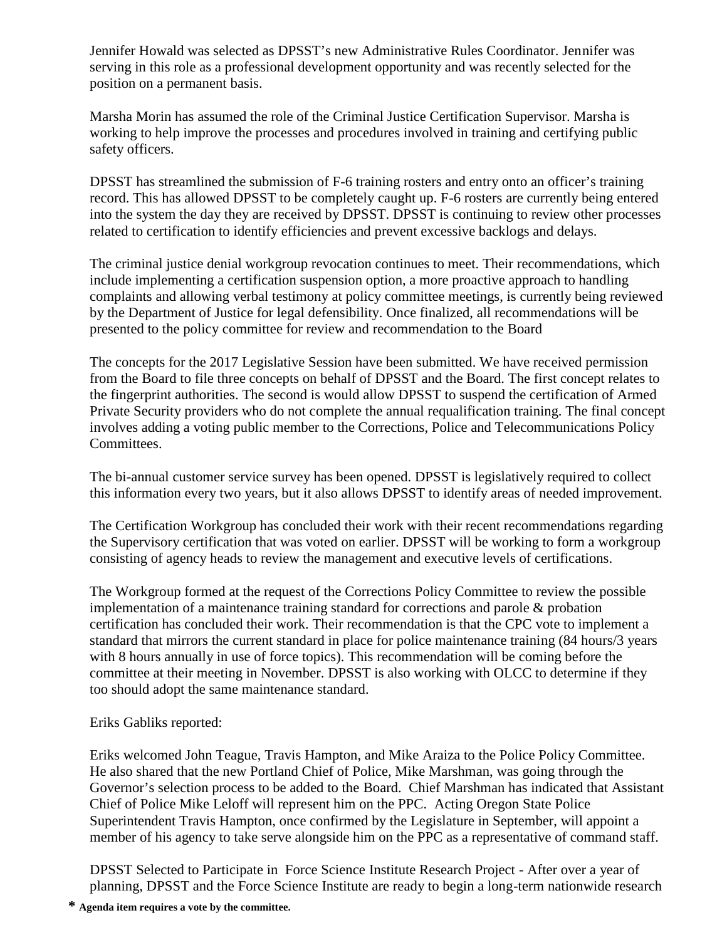Jennifer Howald was selected as DPSST's new Administrative Rules Coordinator. Jennifer was serving in this role as a professional development opportunity and was recently selected for the position on a permanent basis.

Marsha Morin has assumed the role of the Criminal Justice Certification Supervisor. Marsha is working to help improve the processes and procedures involved in training and certifying public safety officers.

DPSST has streamlined the submission of F-6 training rosters and entry onto an officer's training record. This has allowed DPSST to be completely caught up. F-6 rosters are currently being entered into the system the day they are received by DPSST. DPSST is continuing to review other processes related to certification to identify efficiencies and prevent excessive backlogs and delays.

The criminal justice denial workgroup revocation continues to meet. Their recommendations, which include implementing a certification suspension option, a more proactive approach to handling complaints and allowing verbal testimony at policy committee meetings, is currently being reviewed by the Department of Justice for legal defensibility. Once finalized, all recommendations will be presented to the policy committee for review and recommendation to the Board

The concepts for the 2017 Legislative Session have been submitted. We have received permission from the Board to file three concepts on behalf of DPSST and the Board. The first concept relates to the fingerprint authorities. The second is would allow DPSST to suspend the certification of Armed Private Security providers who do not complete the annual requalification training. The final concept involves adding a voting public member to the Corrections, Police and Telecommunications Policy Committees.

The bi-annual customer service survey has been opened. DPSST is legislatively required to collect this information every two years, but it also allows DPSST to identify areas of needed improvement.

The Certification Workgroup has concluded their work with their recent recommendations regarding the Supervisory certification that was voted on earlier. DPSST will be working to form a workgroup consisting of agency heads to review the management and executive levels of certifications.

The Workgroup formed at the request of the Corrections Policy Committee to review the possible implementation of a maintenance training standard for corrections and parole & probation certification has concluded their work. Their recommendation is that the CPC vote to implement a standard that mirrors the current standard in place for police maintenance training (84 hours/3 years with 8 hours annually in use of force topics). This recommendation will be coming before the committee at their meeting in November. DPSST is also working with OLCC to determine if they too should adopt the same maintenance standard.

# Eriks Gabliks reported:

Eriks welcomed John Teague, Travis Hampton, and Mike Araiza to the Police Policy Committee. He also shared that the new Portland Chief of Police, Mike Marshman, was going through the Governor's selection process to be added to the Board. Chief Marshman has indicated that Assistant Chief of Police Mike Leloff will represent him on the PPC. Acting Oregon State Police Superintendent Travis Hampton, once confirmed by the Legislature in September, will appoint a member of his agency to take serve alongside him on the PPC as a representative of command staff.

DPSST Selected to Participate in Force Science Institute Research Project - After over a year of planning, DPSST and the Force Science Institute are ready to begin a long-term nationwide research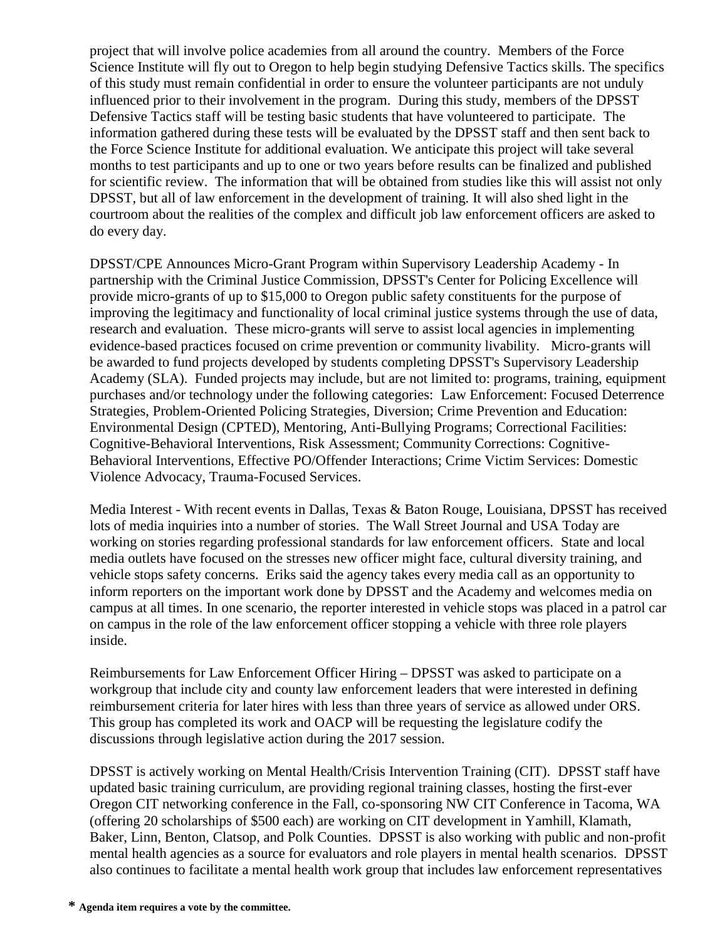project that will involve police academies from all around the country. Members of the Force Science Institute will fly out to Oregon to help begin studying Defensive Tactics skills. The specifics of this study must remain confidential in order to ensure the volunteer participants are not unduly influenced prior to their involvement in the program. During this study, members of the DPSST Defensive Tactics staff will be testing basic students that have volunteered to participate. The information gathered during these tests will be evaluated by the DPSST staff and then sent back to the Force Science Institute for additional evaluation. We anticipate this project will take several months to test participants and up to one or two years before results can be finalized and published for scientific review. The information that will be obtained from studies like this will assist not only DPSST, but all of law enforcement in the development of training. It will also shed light in the courtroom about the realities of the complex and difficult job law enforcement officers are asked to do every day.

DPSST/CPE Announces Micro-Grant Program within Supervisory Leadership Academy - In partnership with the Criminal Justice Commission, DPSST's Center for Policing Excellence will provide micro-grants of up to \$15,000 to Oregon public safety constituents for the purpose of improving the legitimacy and functionality of local criminal justice systems through the use of data, research and evaluation. These micro-grants will serve to assist local agencies in implementing evidence-based practices focused on crime prevention or community livability. Micro-grants will be awarded to fund projects developed by students completing DPSST's Supervisory Leadership Academy (SLA). Funded projects may include, but are not limited to: programs, training, equipment purchases and/or technology under the following categories: Law Enforcement: Focused Deterrence Strategies, Problem-Oriented Policing Strategies, Diversion; Crime Prevention and Education: Environmental Design (CPTED), Mentoring, Anti-Bullying Programs; Correctional Facilities: Cognitive-Behavioral Interventions, Risk Assessment; Community Corrections: Cognitive- Behavioral Interventions, Effective PO/Offender Interactions; Crime Victim Services: Domestic Violence Advocacy, Trauma-Focused Services.

Media Interest - With recent events in Dallas, Texas & Baton Rouge, Louisiana, DPSST has received lots of media inquiries into a number of stories. The Wall Street Journal and USA Today are working on stories regarding professional standards for law enforcement officers. State and local media outlets have focused on the stresses new officer might face, cultural diversity training, and vehicle stops safety concerns. Eriks said the agency takes every media call as an opportunity to inform reporters on the important work done by DPSST and the Academy and welcomes media on campus at all times. In one scenario, the reporter interested in vehicle stops was placed in a patrol car on campus in the role of the law enforcement officer stopping a vehicle with three role players inside.

Reimbursements for Law Enforcement Officer Hiring – DPSST was asked to participate on a workgroup that include city and county law enforcement leaders that were interested in defining reimbursement criteria for later hires with less than three years of service as allowed under ORS. This group has completed its work and OACP will be requesting the legislature codify the discussions through legislative action during the 2017 session.

DPSST is actively working on Mental Health/Crisis Intervention Training (CIT). DPSST staff have updated basic training curriculum, are providing regional training classes, hosting the first-ever Oregon CIT networking conference in the Fall, co-sponsoring NW CIT Conference in Tacoma, WA (offering 20 scholarships of \$500 each) are working on CIT development in Yamhill, Klamath, Baker, Linn, Benton, Clatsop, and Polk Counties. DPSST is also working with public and non-profit mental health agencies as a source for evaluators and role players in mental health scenarios. DPSST also continues to facilitate a mental health work group that includes law enforcement representatives